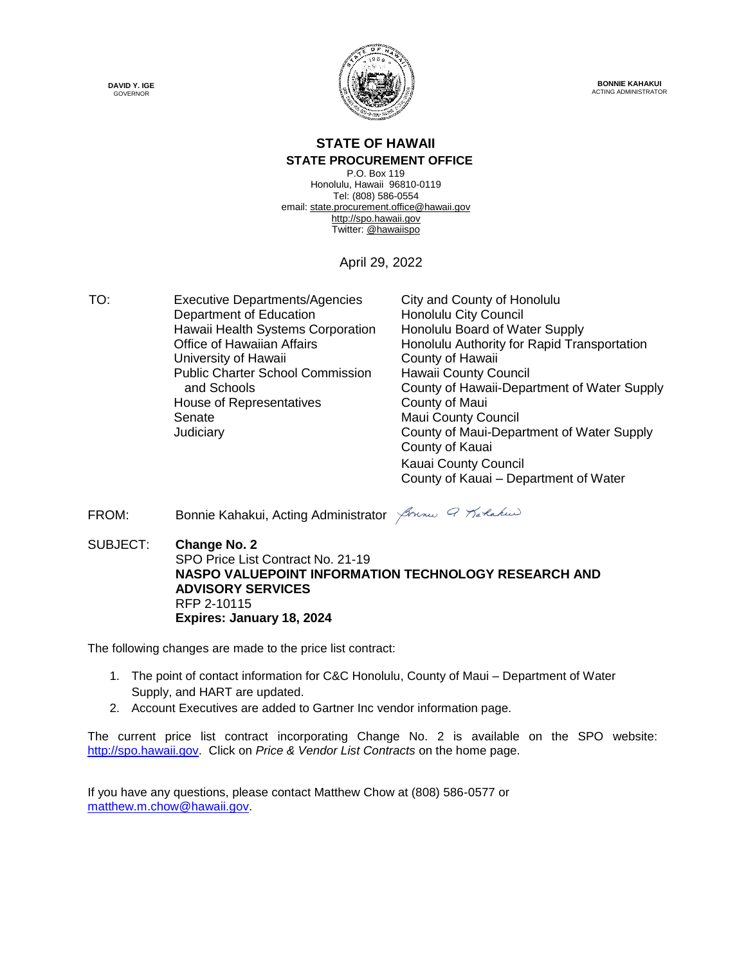



**BONNIE KAHAKUI** ACTING ADMINISTRATOR

### **STATE OF HAWAII**

#### **STATE PROCUREMENT OFFICE**

P.O. Box 119 Honolulu, Hawaii 96810-0119 Tel: (808) 586-0554 email[: state.procurement.office@hawaii.gov](mailto:state.procurement.office@hawaii.gov) [http://spo.hawaii.gov](http://spo.hawaii.gov/) Twitter: [@hawaiispo](https://twitter.com/hawaiispo)

April 29, 2022

TO: Executive Departments/Agencies City and County of Honolulu Department of Education Honolulu City Council Hawaii Health Systems Corporation Honolulu Board of Water Supply University of Hawaii **County of Hawaii** Public Charter School Commission and Schools House of Representatives **County of Maui** Senate Maui County Council

Office of Hawaiian Affairs **Honolulu Authority for Rapid Transportation** Hawaii County Council County of Hawaii-Department of Water Supply Judiciary County of Maui-Department of Water Supply County of Kauai Kauai County Council County of Kauai – Department of Water

#### FROM: Bonnie Kahakui, Acting Administrator *Jonne G Tarlakus*

SUBJECT: **Change No. 2** SPO Price List Contract No. 21-19 **NASPO VALUEPOINT INFORMATION TECHNOLOGY RESEARCH AND ADVISORY SERVICES** RFP 2-10115 **Expires: January 18, 2024**

The following changes are made to the price list contract:

- 1. The point of contact information for C&C Honolulu, County of Maui Department of Water Supply, and HART are updated.
- 2. Account Executives are added to Gartner Inc vendor information page.

The current price list contract incorporating Change No. 2 is available on the SPO website: [http://spo.hawaii.gov.](http://spo.hawaii.gov/) Click on *Price & Vendor List Contracts* on the home page.

If you have any questions, please contact Matthew Chow at (808) 586-0577 or [matthew.m.chow@hawaii.gov.](mailto:matthew.m.chow@hawaii.gov)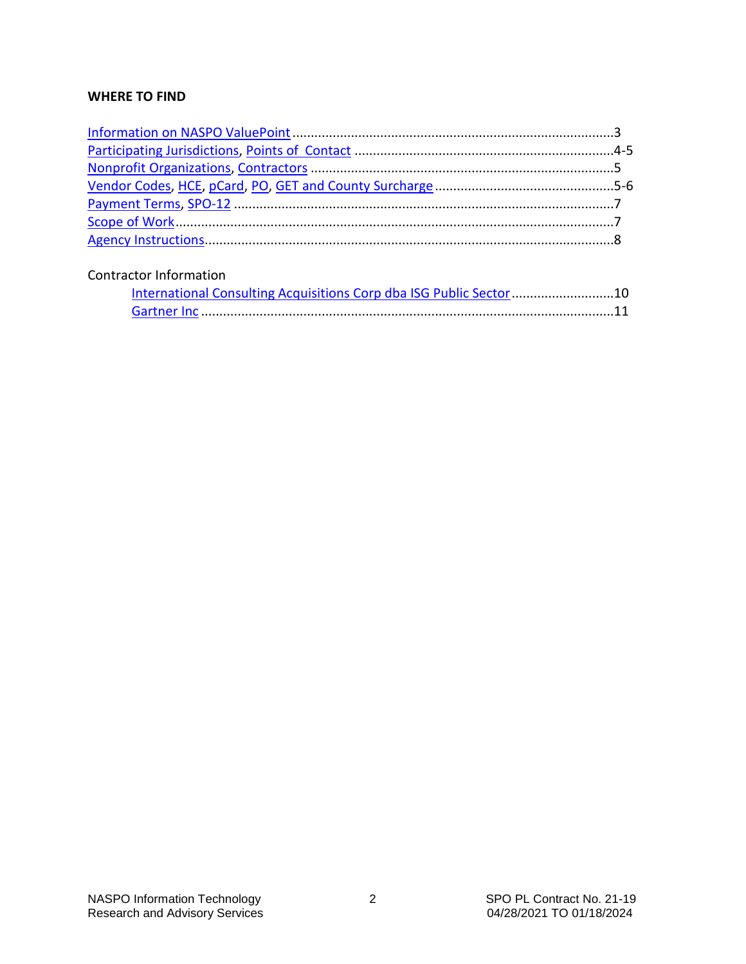#### **WHERE TO FIND**

#### Contractor Information

| International Consulting Acquisitions Corp dba ISG Public Sector 10 |  |
|---------------------------------------------------------------------|--|
|                                                                     |  |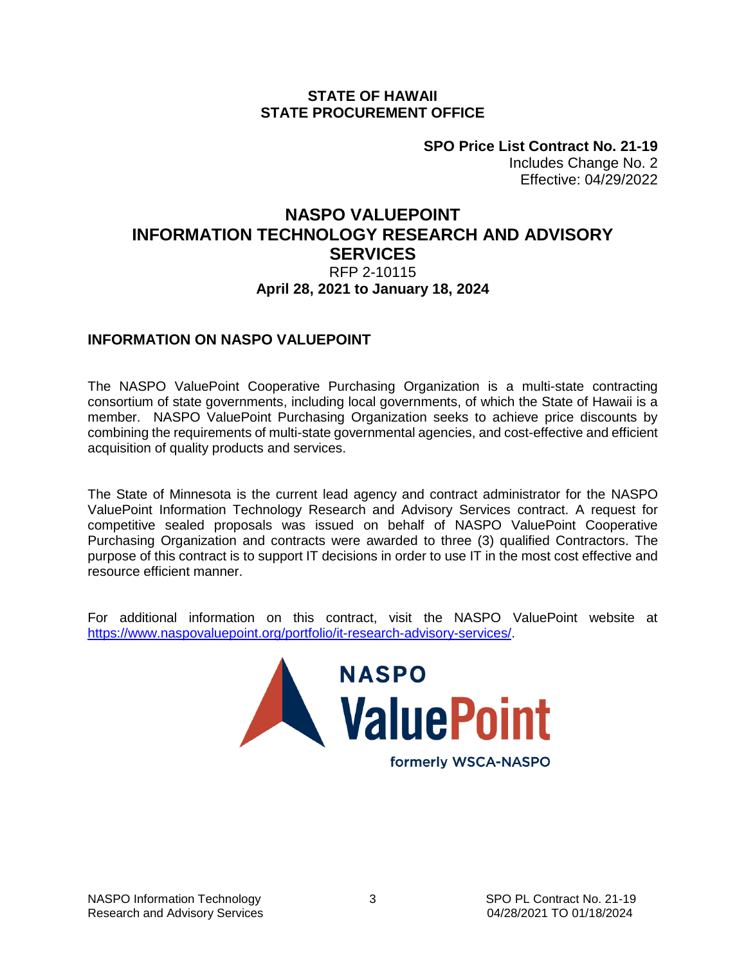#### **STATE OF HAWAII STATE PROCUREMENT OFFICE**

**SPO Price List Contract No. 21-19** Includes Change No. 2 Effective: 04/29/2022

#### <span id="page-2-0"></span>**NASPO VALUEPOINT INFORMATION TECHNOLOGY RESEARCH AND ADVISORY SERVICES** RFP 2-10115 **April 28, 2021 to January 18, 2024**

#### **INFORMATION ON NASPO VALUEPOINT**

The NASPO ValuePoint Cooperative Purchasing Organization is a multi-state contracting consortium of state governments, including local governments, of which the State of Hawaii is a member. NASPO ValuePoint Purchasing Organization seeks to achieve price discounts by combining the requirements of multi-state governmental agencies, and cost-effective and efficient acquisition of quality products and services.

The State of Minnesota is the current lead agency and contract administrator for the NASPO ValuePoint Information Technology Research and Advisory Services contract. A request for competitive sealed proposals was issued on behalf of NASPO ValuePoint Cooperative Purchasing Organization and contracts were awarded to three (3) qualified Contractors. The purpose of this contract is to support IT decisions in order to use IT in the most cost effective and resource efficient manner.

For additional information on this contract, visit the NASPO ValuePoint website at [https://www.naspovaluepoint.org/portfolio/it-research-advisory-services/.](https://www.naspovaluepoint.org/portfolio/it-research-advisory-services/)

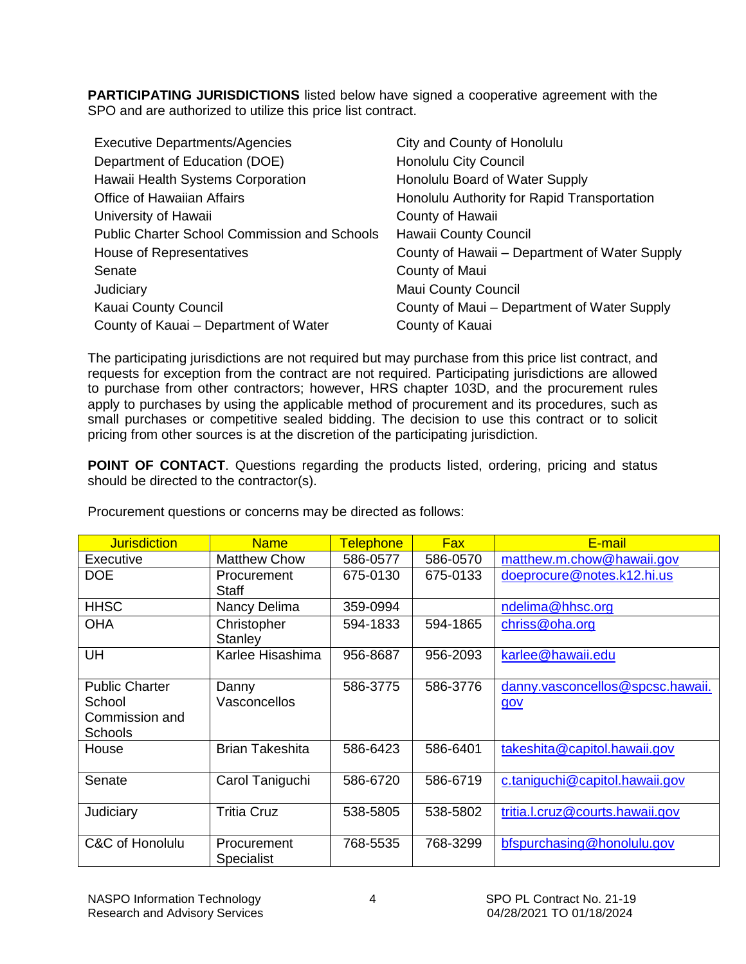<span id="page-3-0"></span>**PARTICIPATING JURISDICTIONS** listed below have signed a cooperative agreement with the SPO and are authorized to utilize this price list contract.

| <b>Executive Departments/Agencies</b>               | City and County of Honolulu                   |
|-----------------------------------------------------|-----------------------------------------------|
| Department of Education (DOE)                       | <b>Honolulu City Council</b>                  |
| Hawaii Health Systems Corporation                   | Honolulu Board of Water Supply                |
| Office of Hawaiian Affairs                          | Honolulu Authority for Rapid Transportation   |
| University of Hawaii                                | County of Hawaii                              |
| <b>Public Charter School Commission and Schools</b> | Hawaii County Council                         |
| House of Representatives                            | County of Hawaii – Department of Water Supply |
| Senate                                              | County of Maui                                |
| Judiciary                                           | <b>Maui County Council</b>                    |
| Kauai County Council                                | County of Maui - Department of Water Supply   |
| County of Kauai – Department of Water               | County of Kauai                               |

The participating jurisdictions are not required but may purchase from this price list contract, and requests for exception from the contract are not required. Participating jurisdictions are allowed to purchase from other contractors; however, HRS chapter 103D, and the procurement rules apply to purchases by using the applicable method of procurement and its procedures, such as small purchases or competitive sealed bidding. The decision to use this contract or to solicit pricing from other sources is at the discretion of the participating jurisdiction.

**POINT OF CONTACT**. Questions regarding the products listed, ordering, pricing and status should be directed to the contractor(s).

| <b>Jurisdiction</b>                                                 | <b>Name</b>               | <b>Telephone</b> | <b>Fax</b> | E-mail                                  |
|---------------------------------------------------------------------|---------------------------|------------------|------------|-----------------------------------------|
| Executive                                                           | <b>Matthew Chow</b>       | 586-0577         | 586-0570   | matthew.m.chow@hawaii.gov               |
| <b>DOE</b>                                                          | Procurement<br>Staff      | 675-0130         | 675-0133   | doeprocure@notes.k12.hi.us              |
| <b>HHSC</b>                                                         | Nancy Delima              | 359-0994         |            | ndelima@hhsc.org                        |
| <b>OHA</b>                                                          | Christopher<br>Stanley    | 594-1833         | 594-1865   | chriss@oha.org                          |
| UH                                                                  | Karlee Hisashima          | 956-8687         | 956-2093   | karlee@hawaii.edu                       |
| <b>Public Charter</b><br>School<br>Commission and<br><b>Schools</b> | Danny<br>Vasconcellos     | 586-3775         | 586-3776   | danny.vasconcellos@spcsc.hawaii.<br>gov |
| House                                                               | <b>Brian Takeshita</b>    | 586-6423         | 586-6401   | takeshita@capitol.hawaii.gov            |
| Senate                                                              | Carol Taniguchi           | 586-6720         | 586-6719   | c.taniquchi@capitol.hawaii.gov          |
| Judiciary                                                           | <b>Tritia Cruz</b>        | 538-5805         | 538-5802   | tritia.l.cruz@courts.hawaii.gov         |
| C&C of Honolulu                                                     | Procurement<br>Specialist | 768-5535         | 768-3299   | bfspurchasing@honolulu.gov              |

Procurement questions or concerns may be directed as follows: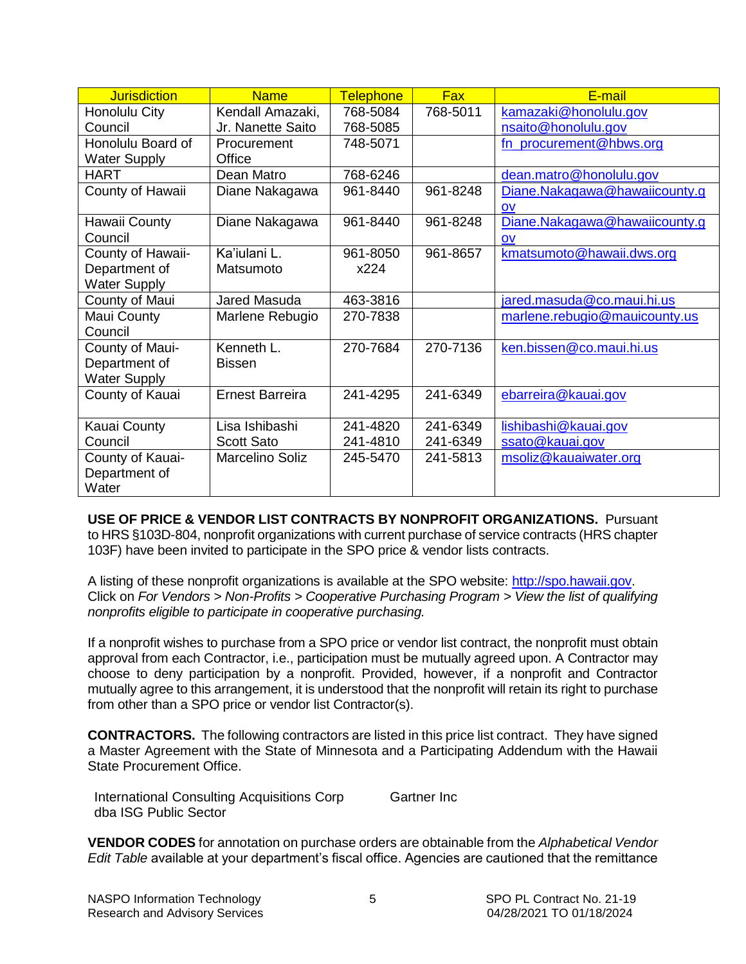<span id="page-4-0"></span>

| <b>Jurisdiction</b> | <b>Name</b>       | <b>Telephone</b> | <b>Fax</b> | E-mail                        |
|---------------------|-------------------|------------------|------------|-------------------------------|
| Honolulu City       | Kendall Amazaki,  | 768-5084         | 768-5011   | kamazaki@honolulu.gov         |
| Council             | Jr. Nanette Saito | 768-5085         |            | nsaito@honolulu.gov           |
| Honolulu Board of   | Procurement       | 748-5071         |            | fn procurement@hbws.org       |
| <b>Water Supply</b> | Office            |                  |            |                               |
| <b>HART</b>         | Dean Matro        | 768-6246         |            | dean.matro@honolulu.gov       |
| County of Hawaii    | Diane Nakagawa    | 961-8440         | 961-8248   | Diane.Nakagawa@hawaiicounty.g |
|                     |                   |                  |            | OV                            |
| Hawaii County       | Diane Nakagawa    | 961-8440         | 961-8248   | Diane.Nakagawa@hawaiicounty.g |
| Council             |                   |                  |            | OV                            |
| County of Hawaii-   | Ka'iulani L.      | 961-8050         | 961-8657   | kmatsumoto@hawaii.dws.org     |
| Department of       | Matsumoto         | x224             |            |                               |
| <b>Water Supply</b> |                   |                  |            |                               |
| County of Maui      | Jared Masuda      | 463-3816         |            | jared.masuda@co.maui.hi.us    |
| Maui County         | Marlene Rebugio   | 270-7838         |            | marlene.rebugio@mauicounty.us |
| Council             |                   |                  |            |                               |
| County of Maui-     | Kenneth L.        | 270-7684         | 270-7136   | ken.bissen@co.maui.hi.us      |
| Department of       | <b>Bissen</b>     |                  |            |                               |
| <b>Water Supply</b> |                   |                  |            |                               |
| County of Kauai     | Ernest Barreira   | 241-4295         | 241-6349   | ebarreira@kauai.gov           |
|                     |                   |                  |            |                               |
| Kauai County        | Lisa Ishibashi    | 241-4820         | 241-6349   | lishibashi@kauai.gov          |
| Council             | <b>Scott Sato</b> | 241-4810         | 241-6349   | ssato@kauai.gov               |
| County of Kauai-    | Marcelino Soliz   | 245-5470         | 241-5813   | msoliz@kauaiwater.org         |
| Department of       |                   |                  |            |                               |
| Water               |                   |                  |            |                               |

**USE OF PRICE & VENDOR LIST CONTRACTS BY NONPROFIT ORGANIZATIONS.** Pursuant to HRS §103D-804, nonprofit organizations with current purchase of service contracts (HRS chapter 103F) have been invited to participate in the SPO price & vendor lists contracts.

A listing of these nonprofit organizations is available at the SPO website: [http://spo.hawaii.gov.](http://spo.hawaii.gov/) Click on *For Vendors > Non-Profits > Cooperative Purchasing Program > View the list of qualifying nonprofits eligible to participate in cooperative purchasing.*

If a nonprofit wishes to purchase from a SPO price or vendor list contract, the nonprofit must obtain approval from each Contractor, i.e., participation must be mutually agreed upon. A Contractor may choose to deny participation by a nonprofit. Provided, however, if a nonprofit and Contractor mutually agree to this arrangement, it is understood that the nonprofit will retain its right to purchase from other than a SPO price or vendor list Contractor(s).

**CONTRACTORS.** The following contractors are listed in this price list contract. They have signed a Master Agreement with the State of Minnesota and a Participating Addendum with the Hawaii State Procurement Office.

International Consulting Acquisitions Corp dba ISG Public Sector Gartner Inc

**VENDOR CODES** for annotation on purchase orders are obtainable from the *Alphabetical Vendor Edit Table* available at your department's fiscal office. Agencies are cautioned that the remittance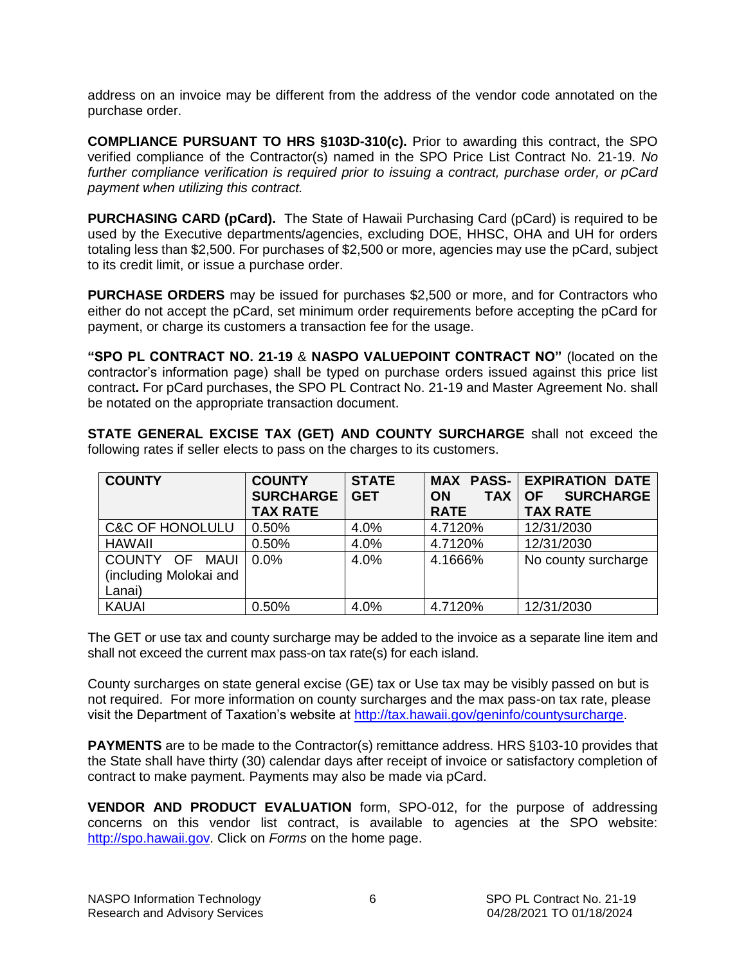<span id="page-5-0"></span>address on an invoice may be different from the address of the vendor code annotated on the purchase order.

**COMPLIANCE PURSUANT TO HRS §103D-310(c).** Prior to awarding this contract, the SPO verified compliance of the Contractor(s) named in the SPO Price List Contract No. 21-19. *No further compliance verification is required prior to issuing a contract, purchase order, or pCard payment when utilizing this contract.*

**PURCHASING CARD (pCard).** The State of Hawaii Purchasing Card (pCard) is required to be used by the Executive departments/agencies, excluding DOE, HHSC, OHA and UH for orders totaling less than \$2,500. For purchases of \$2,500 or more, agencies may use the pCard, subject to its credit limit, or issue a purchase order.

**PURCHASE ORDERS** may be issued for purchases \$2,500 or more, and for Contractors who either do not accept the pCard, set minimum order requirements before accepting the pCard for payment, or charge its customers a transaction fee for the usage.

**"SPO PL CONTRACT NO. 21-19** & **NASPO VALUEPOINT CONTRACT NO"** (located on the contractor's information page) shall be typed on purchase orders issued against this price list contract**.** For pCard purchases, the SPO PL Contract No. 21-19 and Master Agreement No. shall be notated on the appropriate transaction document.

**STATE GENERAL EXCISE TAX (GET) AND COUNTY SURCHARGE** shall not exceed the following rates if seller elects to pass on the charges to its customers.

| <b>COUNTY</b>              | <b>COUNTY</b>    | <b>STATE</b> |                         | <b>MAX PASS- EXPIRATION DATE</b> |
|----------------------------|------------------|--------------|-------------------------|----------------------------------|
|                            | <b>SURCHARGE</b> | <b>GET</b>   | <b>TAX</b><br><b>ON</b> | <b>SURCHARGE</b><br><b>OF</b>    |
|                            | <b>TAX RATE</b>  |              | <b>RATE</b>             | <b>TAX RATE</b>                  |
| <b>C&amp;C OF HONOLULU</b> | 0.50%            | 4.0%         | 4.7120%                 | 12/31/2030                       |
| <b>HAWAII</b>              | 0.50%            | 4.0%         | 4.7120%                 | 12/31/2030                       |
| COUNTY OF MAUI             | 0.0%             | 4.0%         | 4.1666%                 | No county surcharge              |
| (including Molokai and     |                  |              |                         |                                  |
| Lanai)                     |                  |              |                         |                                  |
| <b>KAUAI</b>               | 0.50%            | 4.0%         | 4.7120%                 | 12/31/2030                       |

The GET or use tax and county surcharge may be added to the invoice as a separate line item and shall not exceed the current max pass-on tax rate(s) for each island.

County surcharges on state general excise (GE) tax or Use tax may be visibly passed on but is not required. For more information on county surcharges and the max pass-on tax rate, please visit the Department of Taxation's website at [http://tax.hawaii.gov/geninfo/countysurcharge.](http://tax.hawaii.gov/geninfo/countysurcharge)

**PAYMENTS** are to be made to the Contractor(s) remittance address. HRS §103-10 provides that the State shall have thirty (30) calendar days after receipt of invoice or satisfactory completion of contract to make payment. Payments may also be made via pCard.

**VENDOR AND PRODUCT EVALUATION** form, SPO-012, for the purpose of addressing concerns on this vendor list contract, is available to agencies at the SPO website: [http://spo.hawaii.gov.](http://spo.hawaii.gov/) Click on *Forms* on the home page.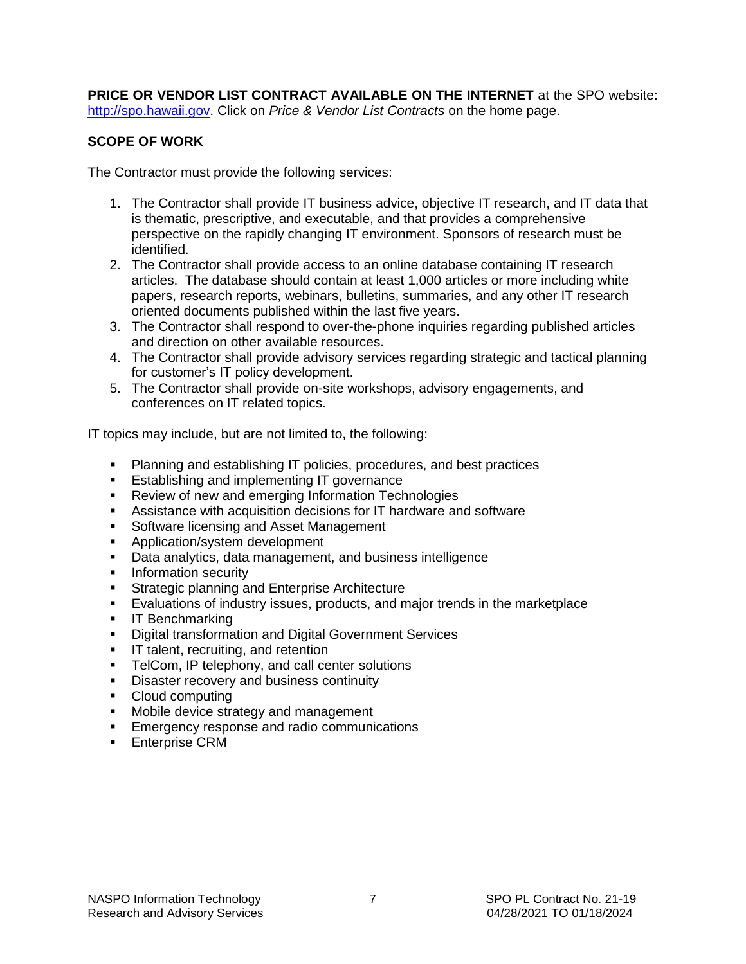<span id="page-6-0"></span>**PRICE OR VENDOR LIST CONTRACT AVAILABLE ON THE INTERNET** at the SPO website: [http://spo.hawaii.gov.](http://spo.hawaii.gov/) Click on *Price & Vendor List Contracts* on the home page.

#### **SCOPE OF WORK**

The Contractor must provide the following services:

- 1. The Contractor shall provide IT business advice, objective IT research, and IT data that is thematic, prescriptive, and executable, and that provides a comprehensive perspective on the rapidly changing IT environment. Sponsors of research must be identified.
- 2. The Contractor shall provide access to an online database containing IT research articles. The database should contain at least 1,000 articles or more including white papers, research reports, webinars, bulletins, summaries, and any other IT research oriented documents published within the last five years.
- 3. The Contractor shall respond to over-the-phone inquiries regarding published articles and direction on other available resources.
- 4. The Contractor shall provide advisory services regarding strategic and tactical planning for customer's IT policy development.
- 5. The Contractor shall provide on-site workshops, advisory engagements, and conferences on IT related topics.

IT topics may include, but are not limited to, the following:

- Planning and establishing IT policies, procedures, and best practices
- **Establishing and implementing IT governance**
- **Review of new and emerging Information Technologies**
- Assistance with acquisition decisions for IT hardware and software
- **Software licensing and Asset Management**
- **Application/system development**
- Data analytics, data management, and business intelligence
- **Information security**
- **Strategic planning and Enterprise Architecture**
- Evaluations of industry issues, products, and major trends in the marketplace
- **IF Benchmarking**
- **Digital transformation and Digital Government Services**
- **IF talent, recruiting, and retention**
- **TelCom, IP telephony, and call center solutions**
- **Disaster recovery and business continuity**
- Cloud computing
- **Mobile device strategy and management**
- **Emergency response and radio communications**
- **Enterprise CRM**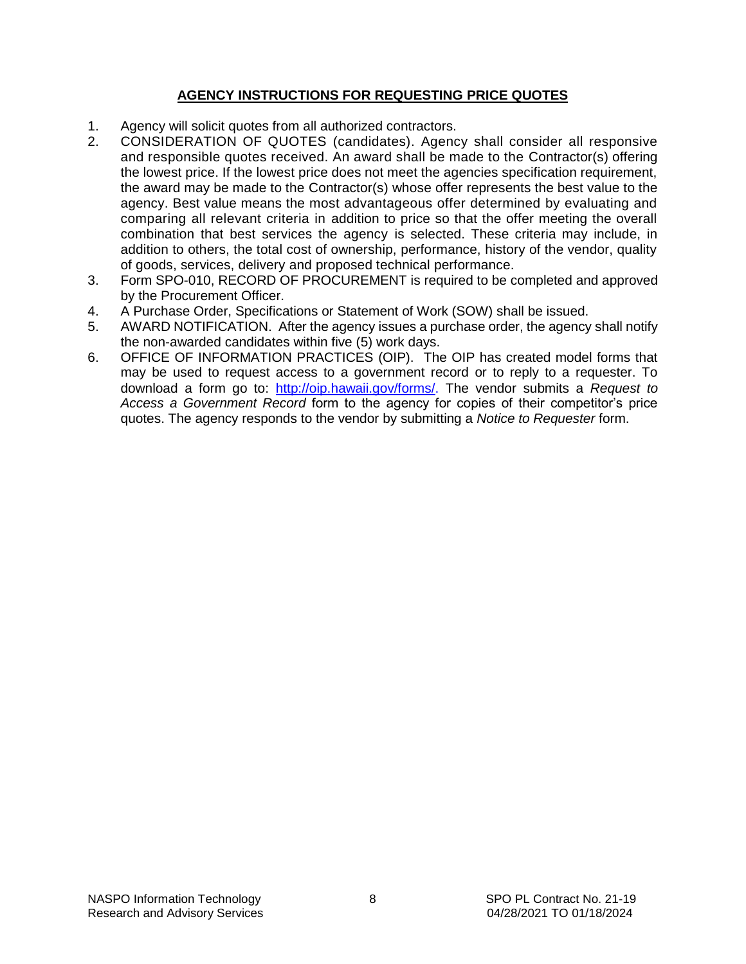#### **AGENCY INSTRUCTIONS FOR REQUESTING PRICE QUOTES**

- 1. Agency will solicit quotes from all authorized contractors.
- 2. CONSIDERATION OF QUOTES (candidates). Agency shall consider all responsive and responsible quotes received. An award shall be made to the Contractor(s) offering the lowest price. If the lowest price does not meet the agencies specification requirement, the award may be made to the Contractor(s) whose offer represents the best value to the agency. Best value means the most advantageous offer determined by evaluating and comparing all relevant criteria in addition to price so that the offer meeting the overall combination that best services the agency is selected. These criteria may include, in addition to others, the total cost of ownership, performance, history of the vendor, quality of goods, services, delivery and proposed technical performance.
- 3. Form SPO-010, RECORD OF PROCUREMENT is required to be completed and approved by the Procurement Officer.
- 4. A Purchase Order, Specifications or Statement of Work (SOW) shall be issued.
- 5. AWARD NOTIFICATION. After the agency issues a purchase order, the agency shall notify the non-awarded candidates within five (5) work days.
- 6. OFFICE OF INFORMATION PRACTICES (OIP). The OIP has created model forms that may be used to request access to a government record or to reply to a requester. To download a form go to: [http://oip.hawaii.gov/forms/.](http://oip.hawaii.gov/forms/) The vendor submits a *Request to Access a Government Record* form to the agency for copies of their competitor's price quotes. The agency responds to the vendor by submitting a *Notice to Requester* form.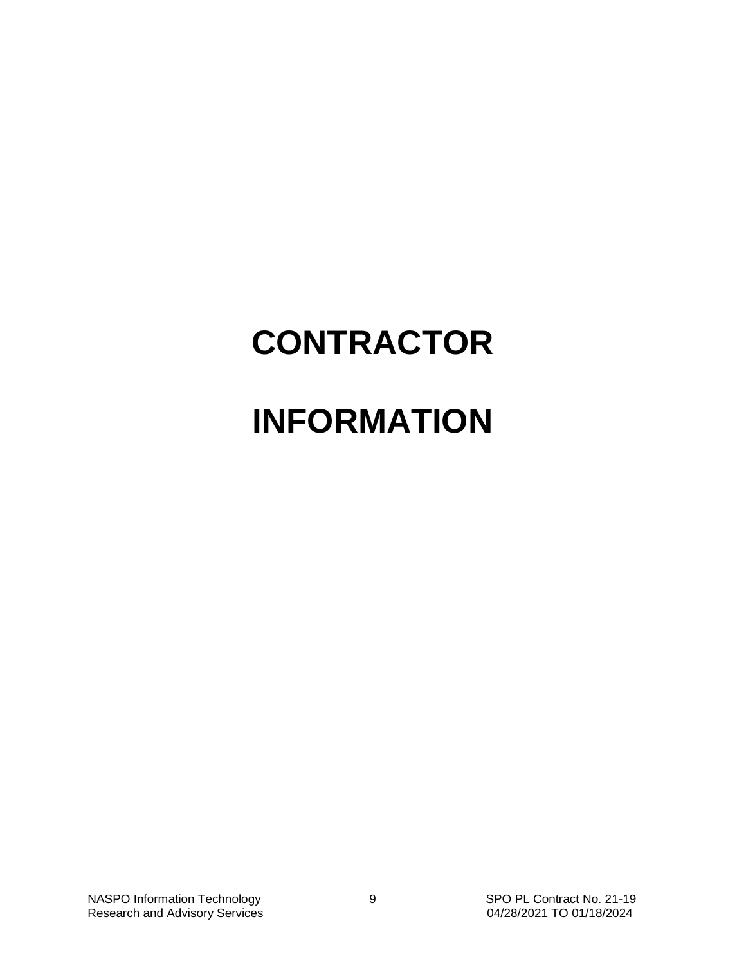# **CONTRACTOR**

## **INFORMATION**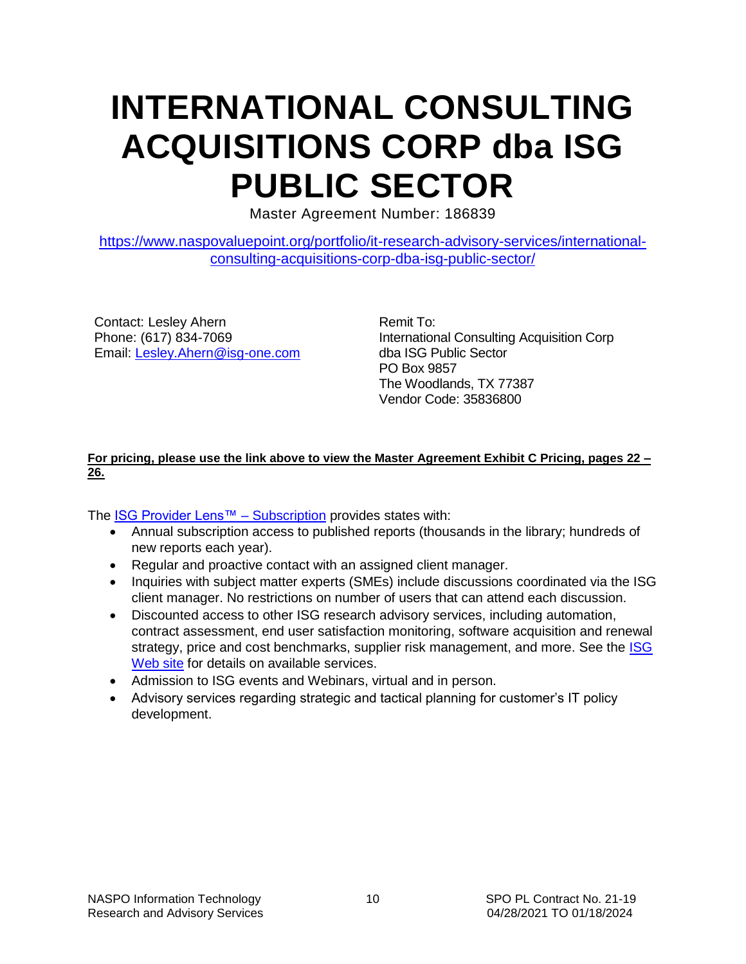## <span id="page-9-0"></span>**INTERNATIONAL CONSULTING ACQUISITIONS CORP dba ISG PUBLIC SECTOR**

Master Agreement Number: 186839

[https://www.naspovaluepoint.org/portfolio/it-research-advisory-services/international](https://www.naspovaluepoint.org/portfolio/it-research-advisory-services/international-consulting-acquisitions-corp-dba-isg-public-sector/)[consulting-acquisitions-corp-dba-isg-public-sector/](https://www.naspovaluepoint.org/portfolio/it-research-advisory-services/international-consulting-acquisitions-corp-dba-isg-public-sector/)

Contact: Lesley Ahern Phone: (617) 834-7069 Email: [Lesley.Ahern@isg-one.com](mailto:Lesley.Ahern@isg-one.com) Remit To: International Consulting Acquisition Corp dba ISG Public Sector PO Box 9857 The Woodlands, TX 77387 Vendor Code: 35836800

#### **For pricing, please use the link above to view the Master Agreement Exhibit C Pricing, pages 22 – 26.**

The [ISG Provider Lens™ –](https://urldefense.com/v3/__https:/isg-one.com/research/provider-research-public-sector__;!!LIYSdFfckKA!mx-KiY60zvq4OZx6MyJRCQn9zkJ_dP5mfA_bm1Rh0Gb1sxjkWucFOmJMwKIMb7Gf92coiDG6$) Subscription provides states with:

- Annual subscription access to published reports (thousands in the library; hundreds of new reports each year).
- Regular and proactive contact with an assigned client manager.
- Inquiries with subject matter experts (SMEs) include discussions coordinated via the ISG client manager. No restrictions on number of users that can attend each discussion.
- Discounted access to other ISG research advisory services, including automation, contract assessment, end user satisfaction monitoring, software acquisition and renewal strategy, price and cost benchmarks, supplier risk management, and more. See the ISG [Web site](https://urldefense.com/v3/__https:/isg-one.com/research/provider-research-public-sector__;!!LIYSdFfckKA!mx-KiY60zvq4OZx6MyJRCQn9zkJ_dP5mfA_bm1Rh0Gb1sxjkWucFOmJMwKIMb7Gf92coiDG6$) for details on available services.
- Admission to ISG events and Webinars, virtual and in person.
- Advisory services regarding strategic and tactical planning for customer's IT policy development.